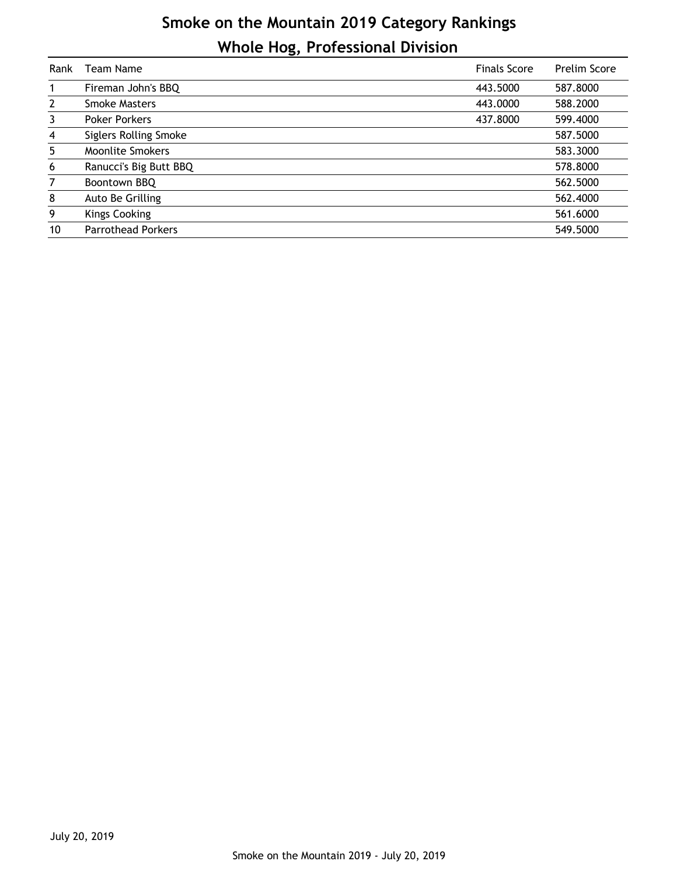## **Smoke on the Mountain 2019 Category Rankings Whole Hog, Professional Division**

| Rank           | Team Name                    | <b>Finals Score</b> | <b>Prelim Score</b> |
|----------------|------------------------------|---------------------|---------------------|
|                | Fireman John's BBQ           | 443.5000            | 587.8000            |
| $\mathbf{2}$   | <b>Smoke Masters</b>         | 443.0000            | 588.2000            |
| 3              | <b>Poker Porkers</b>         | 437.8000            | 599.4000            |
| 4              | <b>Siglers Rolling Smoke</b> |                     | 587.5000            |
| 5              | <b>Moonlite Smokers</b>      |                     | 583.3000            |
| 6              | Ranucci's Big Butt BBQ       |                     | 578.8000            |
| $\overline{7}$ | Boontown BBQ                 |                     | 562.5000            |
| 8              | Auto Be Grilling             |                     | 562.4000            |
| 9              | <b>Kings Cooking</b>         |                     | 561.6000            |
| 10             | <b>Parrothead Porkers</b>    |                     | 549.5000            |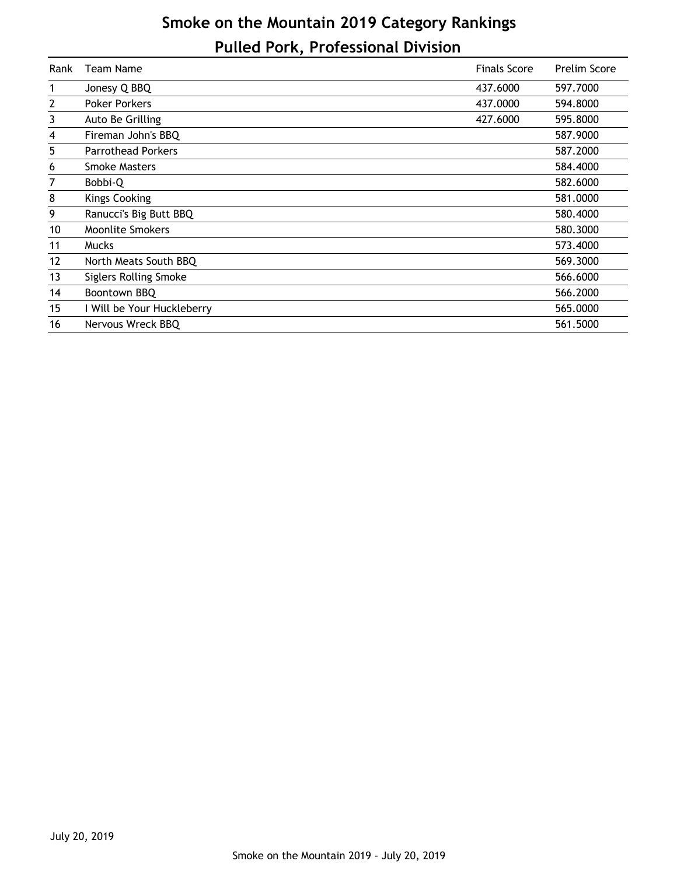## **Smoke on the Mountain 2019 Category Rankings Pulled Pork, Professional Division**

| Rank | Team Name                    | <b>Finals Score</b> | <b>Prelim Score</b> |
|------|------------------------------|---------------------|---------------------|
| 1    | Jonesy Q BBQ                 | 437.6000            | 597.7000            |
| 2    | <b>Poker Porkers</b>         | 437.0000            | 594.8000            |
| 3    | Auto Be Grilling             | 427.6000            | 595.8000            |
| 4    | Fireman John's BBQ           |                     | 587.9000            |
| 5    | <b>Parrothead Porkers</b>    |                     | 587.2000            |
| 6    | <b>Smoke Masters</b>         |                     | 584.4000            |
| 7    | Bobbi-Q                      |                     | 582.6000            |
| 8    | <b>Kings Cooking</b>         |                     | 581.0000            |
| 9    | Ranucci's Big Butt BBQ       |                     | 580,4000            |
| 10   | <b>Moonlite Smokers</b>      |                     | 580.3000            |
| 11   | <b>Mucks</b>                 |                     | 573.4000            |
| 12   | North Meats South BBQ        |                     | 569.3000            |
| 13   | <b>Siglers Rolling Smoke</b> |                     | 566.6000            |
| 14   | Boontown BBQ                 |                     | 566.2000            |
| 15   | I Will be Your Huckleberry   |                     | 565.0000            |
| 16   | Nervous Wreck BBQ            |                     | 561.5000            |